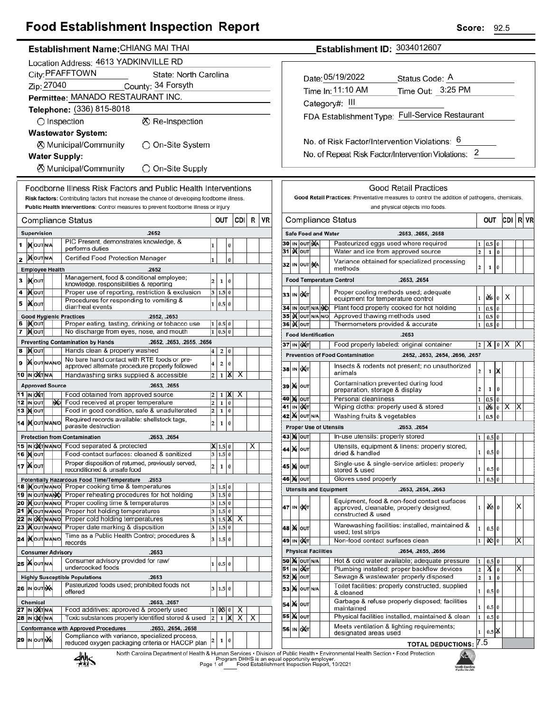# **Food Establishment Inspection Report**

## Establishment Name: CHIANG MAI THAI

|    | Location Address: 4613 YADKINVILLE RD    |                                 |  |    |                                                                                                                   |                         |                             |          |        |   |    |  |
|----|------------------------------------------|---------------------------------|--|----|-------------------------------------------------------------------------------------------------------------------|-------------------------|-----------------------------|----------|--------|---|----|--|
|    | City: PFAFFTOWN<br>State: North Carolina |                                 |  |    |                                                                                                                   |                         |                             |          |        |   |    |  |
|    | Zip: 27040<br>County: 34 Forsyth         |                                 |  |    |                                                                                                                   |                         |                             |          |        |   |    |  |
|    | Permittee: MANADO RESTAURANT INC.        |                                 |  |    |                                                                                                                   |                         |                             |          |        |   |    |  |
|    |                                          |                                 |  |    | Telephone: (336) 815-8018                                                                                         |                         |                             |          |        |   |    |  |
|    | ⊗ Re-Inspection<br>$\bigcirc$ Inspection |                                 |  |    |                                                                                                                   |                         |                             |          |        |   |    |  |
|    |                                          |                                 |  |    | <b>Wastewater System:</b>                                                                                         |                         |                             |          |        |   |    |  |
|    |                                          |                                 |  |    | ⊗ Municipal/Community<br>◯ On-Site System                                                                         |                         |                             |          |        |   |    |  |
|    |                                          |                                 |  |    | <b>Water Supply:</b>                                                                                              |                         |                             |          |        |   |    |  |
|    |                                          |                                 |  |    | ⊗ Municipal/Community<br>◯ On-Site Supply                                                                         |                         |                             |          |        |   |    |  |
|    |                                          |                                 |  |    | Foodborne Illness Risk Factors and Public Health Interventions                                                    |                         |                             |          |        |   |    |  |
|    |                                          |                                 |  |    | Risk factors: Contributing factors that increase the chance of developing foodborne illness.                      |                         |                             |          |        |   |    |  |
|    |                                          |                                 |  |    | Public Health Interventions: Control measures to prevent foodborne illness or injury                              |                         |                             |          |        |   |    |  |
|    |                                          |                                 |  |    | Compliance Status                                                                                                 |                         | OUT                         |          | CDII   | R | VR |  |
|    |                                          | Supervision                     |  |    | .2652                                                                                                             |                         |                             |          |        |   |    |  |
| 1  |                                          | IN OUT N/A                      |  |    | PIC Present, demonstrates knowledge, &<br>performs duties                                                         | 1                       |                             | 0        |        |   |    |  |
| 2  |                                          | <b>XOUTNA</b>                   |  |    | Certified Food Protection Manager                                                                                 | 1                       |                             | $\bf{0}$ |        |   |    |  |
|    |                                          | <b>Employee Health</b>          |  |    | .2652                                                                                                             |                         |                             |          |        |   |    |  |
| 3  |                                          | <b>KOUT</b>                     |  |    | Management, food & conditional employee;<br>knowledge, responsibilities & reporting                               | 2                       | 1                           | 0        |        |   |    |  |
| 4  |                                          | <b>XOUT</b>                     |  |    | Proper use of reporting, restriction & exclusion                                                                  | 3                       | 1.5 0                       |          |        |   |    |  |
| 5  |                                          | liX∣oυт                         |  |    | Procedures for responding to vomiting &<br>diarrheal events                                                       | 1                       | 0.5 0                       |          |        |   |    |  |
|    |                                          |                                 |  |    | <b>Good Hygienic Practices</b><br>.2652, .2653                                                                    |                         |                             |          |        |   |    |  |
| 6  |                                          | IX OUT                          |  |    | Proper eating, tasting, drinking or tobacco use                                                                   | 1<br>1                  | 0.5 0                       |          |        |   |    |  |
| 7  |                                          | <b>X</b> OUT                    |  |    | No discharge from eyes, nose, and mouth<br>.2652, .2653, .2655, .2656<br><b>Preventing Contamination by Hands</b> |                         | 0.5 0                       |          |        |   |    |  |
| 8  |                                          | <b>XOUT</b>                     |  |    | Hands clean & properly washed                                                                                     | 4                       | 2                           | 0        |        |   |    |  |
| 9  |                                          | <b>X</b> OUTNANO                |  |    | No bare hand contact with RTE foods or pre-                                                                       | 4                       | 2                           | 0        |        |   |    |  |
|    |                                          | 10  IN  OXT N/A                 |  |    | approved alternate procedure properly followed<br>Handwashing sinks supplied & accessible                         | 2                       | 1                           | x        | х      |   |    |  |
|    |                                          | <b>Approved Source</b>          |  |    | .2653, .2655                                                                                                      |                         |                             |          |        |   |    |  |
|    |                                          | 11 <b>IN О</b> ХТ               |  |    | Food obtained from approved source                                                                                | 2                       | 1                           | ж        | х      |   |    |  |
|    |                                          | 12 IN OUT<br>13   <b>)(</b> ouт |  | МÓ | Food received at proper temperature<br>Food in good condition, safe & unadulterated                               | 2<br>2                  | 1<br>$\mathbf{1}$           | 0<br>0   |        |   |    |  |
|    |                                          | 14   Nout NANO                  |  |    | Required records available: shellstock tags,                                                                      | 2                       | 1                           | 0        |        |   |    |  |
|    |                                          |                                 |  |    | parasite destruction                                                                                              |                         |                             |          |        |   |    |  |
|    |                                          | 15 IN OXTNANO                   |  |    | <b>Protection from Contamination</b><br>.2653, .2654<br>Food separated & protected                                |                         | $1.5\,$                     | 10       |        | х |    |  |
|    |                                          | <b>16   м</b>   оит             |  |    | Food-contact surfaces: cleaned & sanitized                                                                        |                         | 3 1.5 0                     |          |        |   |    |  |
|    |                                          | 17   Nout                       |  |    | Proper disposition of returned, previously served,<br>reconditioned & unsafe food                                 | 2                       | 1                           | 0        |        |   |    |  |
|    |                                          |                                 |  |    | Potentially Hazardous Food Time/Temperature<br>.2653                                                              |                         |                             |          |        |   |    |  |
|    |                                          |                                 |  |    | 18 Mout NANO Proper cooking time & temperatures                                                                   | 3                       | 1.5 0                       |          |        |   |    |  |
|    |                                          | 19 IN OUT N/ANO<br>20 MOUTNANO  |  |    | Proper reheating procedures for hot holding<br>Proper cooling time & temperatures                                 | 3<br>3                  | 1.5 0<br>1.5 0              |          |        |   |    |  |
| 21 |                                          | <b>KOUT NANO</b>                |  |    | Proper hot holding temperatures                                                                                   | 3                       | 1.5 0                       |          |        |   |    |  |
|    |                                          | 22 IN OXTNANO<br>23   OUTNANO   |  |    | Proper cold holding temperatures<br>Proper date marking & disposition                                             | 3<br>3                  | $1.5\vert\text{X}$<br>1.5 0 |          | х      |   |    |  |
|    |                                          | 24 IX OUT N/AN/O                |  |    | Time as a Public Health Control; procedures &                                                                     |                         |                             |          |        |   |    |  |
|    |                                          |                                 |  |    | records                                                                                                           | 3                       | 1.5 0                       |          |        |   |    |  |
|    |                                          |                                 |  |    | <b>Consumer Advisory</b><br>.2653<br>Consumer advisory provided for raw/                                          |                         |                             |          |        |   |    |  |
|    |                                          | 25 WOUTNA                       |  |    | undercooked foods                                                                                                 | $\mathbf{1}$            | 0.5 0                       |          |        |   |    |  |
|    |                                          |                                 |  |    | <b>Highly Susceptible Populations</b><br>.2653<br>Pasteurized foods used; prohibited foods not                    |                         |                             |          |        |   |    |  |
|    |                                          | 26 IN OUTINA                    |  |    | offered                                                                                                           | 3                       | 1.5 0                       |          |        |   |    |  |
|    |                                          | <b>Chemical</b>                 |  |    | .2653, .2657                                                                                                      |                         |                             |          |        |   |    |  |
|    |                                          | 27 IN OXTNA<br>28 IN OXTNA      |  |    | Food additives: approved & properly used<br>Toxic substances properly identified stored & used                    | 1<br>$\overline{2}$     | 0451<br>1                   | 0<br>X   | х<br>Χ | х |    |  |
|    |                                          |                                 |  |    | <b>Conformance with Approved Procedures</b><br>.2653, .2654, .2658                                                |                         |                             |          |        |   |    |  |
|    |                                          | 29 In Out NA                    |  |    | Compliance with variance, specialized process,<br>reduced oxygen packaging criteria or HACCP plan                 | $\overline{\mathbf{2}}$ | 1                           | 0        |        |   |    |  |
|    |                                          |                                 |  |    |                                                                                                                   |                         |                             |          |        |   |    |  |

Establishment ID: 3034012607

| Date: 05/19/2022  | Status Code: A                                  |
|-------------------|-------------------------------------------------|
| Time In: 11:10 AM | Time Out: 3:25 PM                               |
| Category#: III    |                                                 |
|                   | FDA Establishment Type: Full-Service Restaurant |
|                   |                                                 |

No. of Risk Factor/Intervention Violations: 6 No. of Repeat Risk Factor/Intervention Violations: 2

|    |                                                   |                  |           |                            | and physical objects into foods.                                                                             |                         |       |                 |     |   |    |
|----|---------------------------------------------------|------------------|-----------|----------------------------|--------------------------------------------------------------------------------------------------------------|-------------------------|-------|-----------------|-----|---|----|
|    |                                                   |                  |           |                            | Compliance Status                                                                                            |                         | OUT   |                 | CDI | R | VR |
|    |                                                   |                  |           | <b>Safe Food and Water</b> | .2653, .2655, .2658                                                                                          |                         |       |                 |     |   |    |
| 30 | Pasteurized eggs used where required<br>IN OUT NA |                  |           |                            |                                                                                                              |                         |       | 0               |     |   |    |
| 31 |                                                   | i)X∣ou⊤          |           |                            | Water and ice from approved source                                                                           | $\overline{a}$          | 1     | $\bf{0}$        |     |   |    |
| 32 |                                                   | IN OUT           | <b>NA</b> |                            | Variance obtained for specialized processing<br>methods                                                      | $\overline{2}$          | 1     | $\bf{0}$        |     |   |    |
|    |                                                   |                  |           |                            | <b>Food Temperature Control</b><br>.2653, .2654                                                              |                         |       |                 |     |   |    |
| 33 | IN                                                | охіт             |           |                            | Proper cooling methods used; adequate<br>equipment for temperature control                                   | 1                       | ðś.   | $\vert 0 \vert$ | х   |   |    |
| 34 | IN                                                | OUT N/A NO       |           |                            | Plant food properly cooked for hot holding                                                                   | $\mathbf{1}$            | 0.5   | 0               |     |   |    |
| 35 |                                                   | <b>X</b> OUT     | N/A N/O   |                            | Approved thawing methods used                                                                                | 1                       | 0.5   | 0               |     |   |    |
| 36 |                                                   | <b>K</b> lout    |           |                            | Thermometers provided & accurate                                                                             | $\mathbf{1}$            | 0.5   | 0               |     |   |    |
|    |                                                   |                  |           | <b>Food Identification</b> | .2653                                                                                                        |                         |       |                 |     |   |    |
|    |                                                   | 37 IN OXT        |           |                            | Food properly labeled: original container                                                                    | 2                       | х     | 0               |     | х |    |
|    |                                                   |                  |           |                            | <b>Prevention of Food Contamination</b><br>.2652, .2653, .2654, .2656, .2657                                 |                         |       |                 |     |   |    |
| 38 | IN                                                | охіт             |           |                            | Insects & rodents not present; no unauthorized<br>animals                                                    | 2                       | 1     | Х               |     |   |    |
| 39 |                                                   | <b>X</b> OUT     |           |                            | Contamination prevented during food<br>preparation, storage & display                                        | $\overline{2}$          | 1     | $\bf{0}$        |     |   |    |
| 40 |                                                   | M ou⊤            |           |                            | Personal cleanliness                                                                                         | $\mathbf{1}$            | 0.5   | 0               |     |   |    |
| 41 |                                                   | IN OUT           |           |                            | Wiping cloths: properly used & stored                                                                        | 1                       | ûśs   | 0               | х   | Χ |    |
| 42 |                                                   | <b>X</b> OUT N/A |           |                            | Washing fruits & vegetables                                                                                  | 1                       | 0.5   | 0               |     |   |    |
|    |                                                   |                  |           |                            | <b>Proper Use of Utensils</b><br>.2653, .2654                                                                |                         |       |                 |     |   |    |
|    |                                                   | 43 ) X   ОUТ     |           |                            | In-use utensils: properly stored                                                                             | 1                       | 0.5   | 0               |     |   |    |
| 44 |                                                   | <b>X</b> OUT     |           |                            | Utensils, equipment & linens: properly stored,<br>dried & handled                                            | 1                       | 0.5 0 |                 |     |   |    |
| 45 | M                                                 | OUT              |           |                            | Single-use & single-service articles: properly<br>stored & used                                              | 1                       | 0.5   | $\bf{0}$        |     |   |    |
|    |                                                   | 46 )X(  ouт      |           |                            | Gloves used properly                                                                                         | 1                       | 0.5   | 0               |     |   |    |
|    |                                                   |                  |           |                            | <b>Utensils and Equipment</b><br>.2653, .2654, .2663                                                         |                         |       |                 |     |   |    |
| 47 | IN                                                | ОХТ              |           |                            | Equipment, food & non-food contact surfaces<br>approved, cleanable, properly designed,<br>constructed & used | 1                       | oXslo |                 |     | x |    |
| 48 |                                                   | <b>X</b> OUT     |           |                            | Warewashing facilities: installed, maintained &<br>used; test strips                                         | 1                       | 0.5   | $\bf{0}$        |     |   |    |
| 49 |                                                   | IN OUT           |           |                            | Non-food contact surfaces clean                                                                              | 1                       | 06    | 0               |     | х |    |
|    |                                                   |                  |           | <b>Physical Facilities</b> | .2654, .2655, .2656                                                                                          |                         |       |                 |     |   |    |
| 50 |                                                   | <b>X</b> OUT N/A |           |                            | Hot & cold water available; adequate pressure                                                                | 1                       | 0.5   | $\bf{0}$        |     |   |    |
| 51 | IN                                                | loXi⊤            |           |                            | Plumbing installed; proper backflow devices                                                                  | $\overline{2}$          | х     | $\bf{0}$        |     | Χ |    |
| 52 |                                                   | )X≬∣o∪⊤          |           |                            | Sewage & wastewater properly disposed                                                                        | $\overline{\mathbf{c}}$ | 1     | $\bf{0}$        |     |   |    |
| 53 | M                                                 | OUT N/A          |           |                            | Toilet facilities: properly constructed, supplied<br>& cleaned                                               | 1                       | 0.5   | $\bf{0}$        |     |   |    |
| 54 | M                                                 | OUT              |           |                            | Garbage & refuse properly disposed; facilities<br>maintained                                                 | 1                       | 0.5   | 0               |     |   |    |
| 55 | M                                                 | OUT              |           |                            | Physical facilities installed, maintained & clean                                                            | 1                       | 0.5   | 0               |     |   |    |
| 56 | IN                                                | OXT              |           |                            | Meets ventilation & lighting requirements;<br>designated areas used                                          | 1                       | 0.5   | γ               |     |   |    |
|    |                                                   |                  |           |                            | <b>TOTAL DEDUCTIONS:</b>                                                                                     | 7.5                     |       |                 |     |   |    |



North Carolina Department of Health & Human Services . Division of Public Health . Environmental Health<br>Program DHHS is an equal opportunity employer.<br>Food Establishment Inspection Report, 10/2021 tion · Food Protection

Г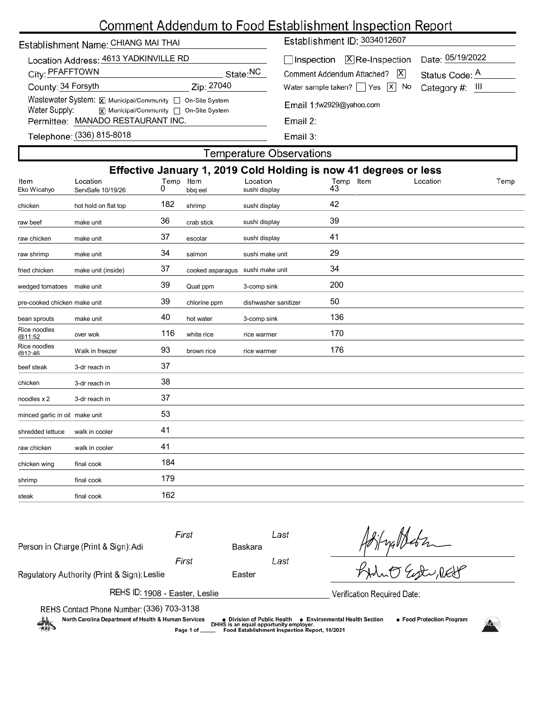# Comment Addendum to Food Establishment Inspection Report

# Establishment Name: CHIANG MAI THAI

| Location Address: 4613 YADKINVILLE RD                     |                                         |  |  |  |  |  |  |  |  |
|-----------------------------------------------------------|-----------------------------------------|--|--|--|--|--|--|--|--|
| City: PFAFFTOWN                                           | State:NC                                |  |  |  |  |  |  |  |  |
| County: 34 Forsyth                                        | Zip: 27040                              |  |  |  |  |  |  |  |  |
| Wastewater System: X Municipal/Community   On-Site System |                                         |  |  |  |  |  |  |  |  |
| Water Supply:                                             | X  Municipal/Community   On-Site System |  |  |  |  |  |  |  |  |
| Permittee: MANADO RESTAURANT INC.                         |                                         |  |  |  |  |  |  |  |  |
|                                                           |                                         |  |  |  |  |  |  |  |  |

Establishment ID: 3034012607

| Inspection <b>X</b> Re-Inspection Date: 05/19/2022       |                |  |  |
|----------------------------------------------------------|----------------|--|--|
| Comment Addendum Attached? X                             | Status Code: A |  |  |
| Water sample taken? $\Box$ Yes $\Box$ No Category #: III |                |  |  |
| Email 1:fw2929@yahoo.com                                 |                |  |  |

| £. |  |
|----|--|
|    |  |

Email 3:

| Telephone: (336) 815-8018 |  |  |
|---------------------------|--|--|
|                           |  |  |

## **Temperature Observations**

| Effective January 1, 2019 Cold Holding is now 41 degrees or less |                               |           |                                  |                           |                 |          |      |  |  |
|------------------------------------------------------------------|-------------------------------|-----------|----------------------------------|---------------------------|-----------------|----------|------|--|--|
| Item<br>Eko Wicahyo                                              | Location<br>ServSafe 10/19/26 | Temp<br>0 | Item<br>bbq eel                  | Location<br>sushi display | Temp Item<br>43 | Location | Temp |  |  |
| chicken                                                          | hot hold on flat top          | 182       | shrimp                           | sushi display             | 42              |          |      |  |  |
| raw beef                                                         | make unit                     | 36        | crab stick                       | sushi display             | 39              |          |      |  |  |
| raw chicken                                                      | make unit                     | 37        | escolar                          | sushi display             | 41              |          |      |  |  |
| raw shrimp                                                       | make unit                     | 34        | salmon                           | sushi make unit           | 29              |          |      |  |  |
| fried chicken                                                    | make unit (inside)            | 37        | cooked asparagus sushi make unit |                           | 34              |          |      |  |  |
| wedged tomatoes                                                  | make unit                     | 39        | Quat ppm                         | 3-comp sink               | 200             |          |      |  |  |
| pre-cooked chicken make unit                                     |                               | 39        | chlorine ppm                     | dishwasher sanitizer      | 50              |          |      |  |  |
| bean sprouts                                                     | make unit                     | 40        | hot water                        | 3-comp sink               | 136             |          |      |  |  |
| Rice noodles<br>@11.52                                           | over wok                      | 116       | white rice                       | rice warmer               | 170             |          |      |  |  |
| Rice noodles<br>@12.46                                           | Walk in freezer               | 93        | brown rice                       | rice warmer               | 176             |          |      |  |  |
| beef steak                                                       | 3-dr reach in                 | 37        |                                  |                           |                 |          |      |  |  |
| chicken                                                          | 3-dr reach in                 | 38        |                                  |                           |                 |          |      |  |  |
| noodles x 2                                                      | 3-dr reach in                 | 37        |                                  |                           |                 |          |      |  |  |
| minced garlic in oil make unit                                   |                               | 53        |                                  |                           |                 |          |      |  |  |
| shredded lettuce                                                 | walk in cooler                | 41        |                                  |                           |                 |          |      |  |  |
| raw chicken                                                      | walk in cooler                | 41        |                                  |                           |                 |          |      |  |  |
| chicken wing                                                     | final cook                    | 184       |                                  |                           |                 |          |      |  |  |
| shrimp                                                           | final cook                    | 179       |                                  |                           |                 |          |      |  |  |
| steak                                                            | final cook                    | 162       |                                  |                           |                 |          |      |  |  |
|                                                                  |                               |           |                                  |                           |                 |          |      |  |  |

| Person in Charge (Print & Sign): Adi                                                                   | First          | Baskara                                    | Last                                                                                    |                                                             |  |
|--------------------------------------------------------------------------------------------------------|----------------|--------------------------------------------|-----------------------------------------------------------------------------------------|-------------------------------------------------------------|--|
| Regulatory Authority (Print & Sign): Leslie                                                            | First          | Easter                                     | Last                                                                                    | KHUT Est ret                                                |  |
| REHS ID: 1908 - Easter, Leslie                                                                         |                |                                            |                                                                                         | Verification Required Date:                                 |  |
| REHS Contact Phone Number: (336) 703-3138<br>North Carolina Department of Health & Human Services<br>煞 | Page 1 of ____ | $\bullet\,$ Division of Public Health $\,$ | DHHS is an equal opportunity employer.<br>Food Establishment Inspection Report, 10/2021 | • Food Protection Program<br>• Environmental Health Section |  |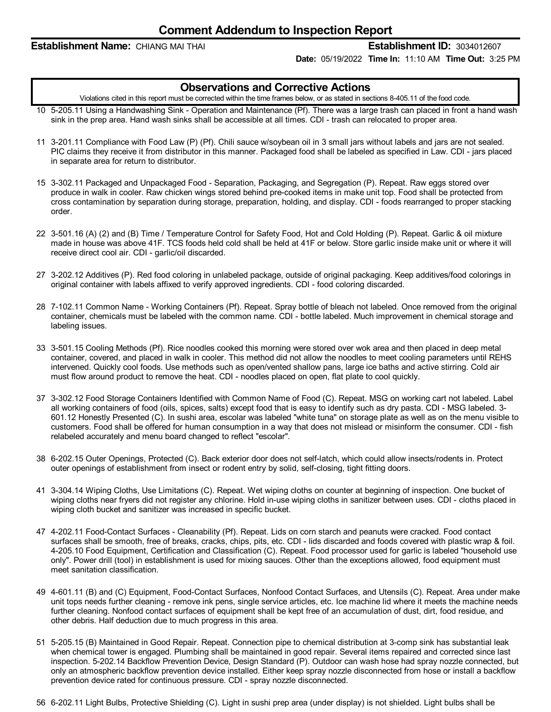### **Establishment Name:** CHIANG MAI THAI **Establishment ID:** 3034012607

**Date:** 05/19/2022 **Time In:** 11:10 AM **Time Out:** 3:25 PM

## **Observations and Corrective Actions**

Violations cited in this report must be corrected within the time frames below, or as stated in sections 8-405.11 of the food code.

- 10 5-205.11 Using a Handwashing Sink Operation and Maintenance (Pf). There was a large trash can placed in front a hand wash sink in the prep area. Hand wash sinks shall be accessible at all times. CDI - trash can relocated to proper area.
- 11 3-201.11 Compliance with Food Law (P) (Pf). Chili sauce w/soybean oil in 3 small jars without labels and jars are not sealed. PIC claims they receive it from distributor in this manner. Packaged food shall be labeled as specified in Law. CDI - jars placed in separate area for return to distributor.
- 15 3-302.11 Packaged and Unpackaged Food Separation, Packaging, and Segregation (P). Repeat. Raw eggs stored over produce in walk in cooler. Raw chicken wings stored behind pre-cooked items in make unit top. Food shall be protected from cross contamination by separation during storage, preparation, holding, and display. CDI - foods rearranged to proper stacking order.
- 22 3-501.16 (A) (2) and (B) Time / Temperature Control for Safety Food, Hot and Cold Holding (P). Repeat. Garlic & oil mixture made in house was above 41F. TCS foods held cold shall be held at 41F or below. Store garlic inside make unit or where it will receive direct cool air. CDI - garlic/oil discarded.
- 27 3-202.12 Additives (P). Red food coloring in unlabeled package, outside of original packaging. Keep additives/food colorings in original container with labels affixed to verify approved ingredients. CDI - food coloring discarded.
- 28 7-102.11 Common Name Working Containers (Pf). Repeat. Spray bottle of bleach not labeled. Once removed from the original container, chemicals must be labeled with the common name. CDI - bottle labeled. Much improvement in chemical storage and labeling issues.
- 33 3-501.15 Cooling Methods (Pf). Rice noodles cooked this morning were stored over wok area and then placed in deep metal container, covered, and placed in walk in cooler. This method did not allow the noodles to meet cooling parameters until REHS intervened. Quickly cool foods. Use methods such as open/vented shallow pans, large ice baths and active stirring. Cold air must flow around product to remove the heat. CDI - noodles placed on open, flat plate to cool quickly.
- 37 3-302.12 Food Storage Containers Identified with Common Name of Food (C). Repeat. MSG on working cart not labeled. Label all working containers of food (oils, spices, salts) except food that is easy to identify such as dry pasta. CDI - MSG labeled. 3- 601.12 Honestly Presented (C). In sushi area, escolar was labeled "white tuna" on storage plate as well as on the menu visible to customers. Food shall be offered for human consumption in a way that does not mislead or misinform the consumer. CDI - fish relabeled accurately and menu board changed to reflect "escolar".
- 38 6-202.15 Outer Openings, Protected (C). Back exterior door does not self-latch, which could allow insects/rodents in. Protect outer openings of establishment from insect or rodent entry by solid, self-closing, tight fitting doors.
- 41 3-304.14 Wiping Cloths, Use Limitations (C). Repeat. Wet wiping cloths on counter at beginning of inspection. One bucket of wiping cloths near fryers did not register any chlorine. Hold in-use wiping cloths in sanitizer between uses. CDI - cloths placed in wiping cloth bucket and sanitizer was increased in specific bucket.
- 47 4-202.11 Food-Contact Surfaces Cleanability (Pf). Repeat. Lids on corn starch and peanuts were cracked. Food contact surfaces shall be smooth, free of breaks, cracks, chips, pits, etc. CDI - lids discarded and foods covered with plastic wrap & foil. 4-205.10 Food Equipment, Certification and Classification (C). Repeat. Food processor used for garlic is labeled "household use only". Power drill (tool) in establishment is used for mixing sauces. Other than the exceptions allowed, food equipment must meet sanitation classification.
- 49 4-601.11 (B) and (C) Equipment, Food-Contact Surfaces, Nonfood Contact Surfaces, and Utensils (C). Repeat. Area under make unit tops needs further cleaning - remove ink pens, single service articles, etc. Ice machine lid where it meets the machine needs further cleaning. Nonfood contact surfaces of equipment shall be kept free of an accumulation of dust, dirt, food residue, and other debris. Half deduction due to much progress in this area.
- 51 5-205.15 (B) Maintained in Good Repair. Repeat. Connection pipe to chemical distribution at 3-comp sink has substantial leak when chemical tower is engaged. Plumbing shall be maintained in good repair. Several items repaired and corrected since last inspection. 5-202.14 Backflow Prevention Device, Design Standard (P). Outdoor can wash hose had spray nozzle connected, but only an atmospheric backflow prevention device installed. Either keep spray nozzle disconnected from hose or install a backflow prevention device rated for continuous pressure. CDI - spray nozzle disconnected.
- 56 6-202.11 Light Bulbs, Protective Shielding (C). Light in sushi prep area (under display) is not shielded. Light bulbs shall be